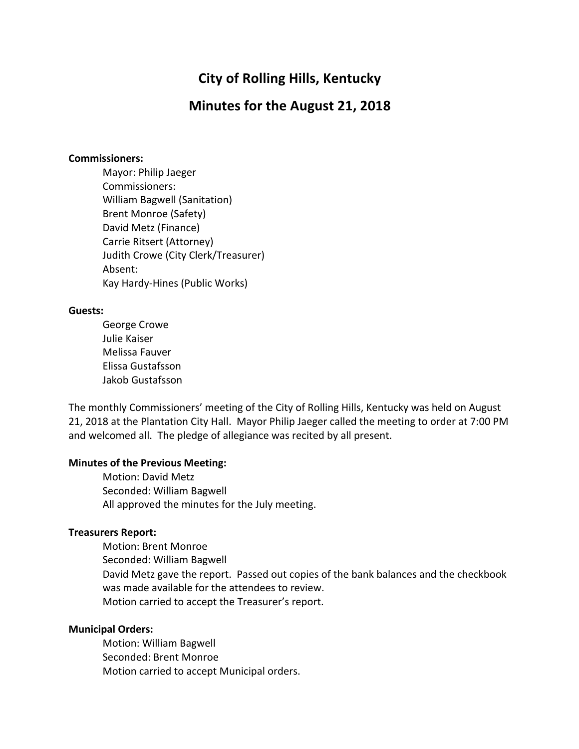# **City of Rolling Hills, Kentucky**

# **Minutes for the August 21, 2018**

#### **Commissioners:**

Mayor: Philip Jaeger Commissioners: William Bagwell (Sanitation) Brent Monroe (Safety) David Metz (Finance) Carrie Ritsert (Attorney) Judith Crowe (City Clerk/Treasurer) Absent: Kay Hardy-Hines (Public Works)

#### **Guests:**

George Crowe Julie Kaiser Melissa Fauver Elissa Gustafsson Jakob Gustafsson

The monthly Commissioners' meeting of the City of Rolling Hills, Kentucky was held on August 21, 2018 at the Plantation City Hall. Mayor Philip Jaeger called the meeting to order at 7:00 PM and welcomed all. The pledge of allegiance was recited by all present.

#### **Minutes of the Previous Meeting:**

Motion: David Metz Seconded: William Bagwell All approved the minutes for the July meeting.

#### **Treasurers Report:**

Motion: Brent Monroe Seconded: William Bagwell David Metz gave the report. Passed out copies of the bank balances and the checkbook was made available for the attendees to review. Motion carried to accept the Treasurer's report.

### **Municipal Orders:**

Motion: William Bagwell Seconded: Brent Monroe Motion carried to accept Municipal orders.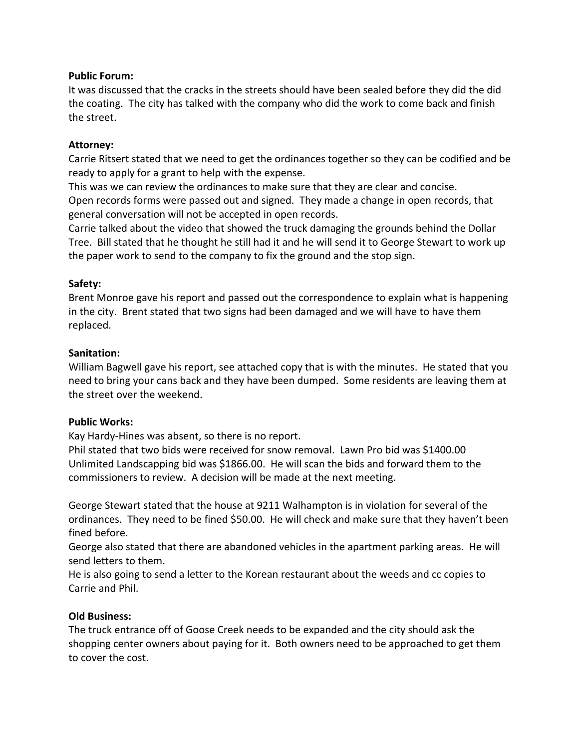### **Public Forum:**

It was discussed that the cracks in the streets should have been sealed before they did the did the coating. The city has talked with the company who did the work to come back and finish the street.

### **Attorney:**

Carrie Ritsert stated that we need to get the ordinances together so they can be codified and be ready to apply for a grant to help with the expense.

This was we can review the ordinances to make sure that they are clear and concise. Open records forms were passed out and signed. They made a change in open records, that general conversation will not be accepted in open records.

Carrie talked about the video that showed the truck damaging the grounds behind the Dollar Tree. Bill stated that he thought he still had it and he will send it to George Stewart to work up the paper work to send to the company to fix the ground and the stop sign.

## **Safety:**

Brent Monroe gave his report and passed out the correspondence to explain what is happening in the city. Brent stated that two signs had been damaged and we will have to have them replaced.

## **Sanitation:**

William Bagwell gave his report, see attached copy that is with the minutes. He stated that you need to bring your cans back and they have been dumped. Some residents are leaving them at the street over the weekend.

## **Public Works:**

Kay Hardy-Hines was absent, so there is no report.

Phil stated that two bids were received for snow removal. Lawn Pro bid was \$1400.00 Unlimited Landscapping bid was \$1866.00. He will scan the bids and forward them to the commissioners to review. A decision will be made at the next meeting.

George Stewart stated that the house at 9211 Walhampton is in violation for several of the ordinances. They need to be fined \$50.00. He will check and make sure that they haven't been fined before.

George also stated that there are abandoned vehicles in the apartment parking areas. He will send letters to them.

He is also going to send a letter to the Korean restaurant about the weeds and cc copies to Carrie and Phil.

## **Old Business:**

The truck entrance off of Goose Creek needs to be expanded and the city should ask the shopping center owners about paying for it. Both owners need to be approached to get them to cover the cost.